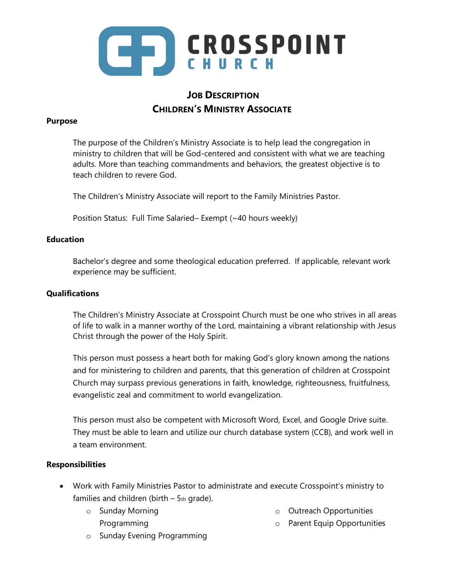

# **JOB DESCRIPTION CHILDREN'S MINISTRY ASSOCIATE**

### **Purpose**

The purpose of the Children's Ministry Associate is to help lead the congregation in ministry to children that will be God-centered and consistent with what we are teaching adults. More than teaching commandments and behaviors, the greatest objective is to teach children to revere God.

The Children's Ministry Associate will report to the Family Ministries Pastor.

Position Status: Full Time Salaried– Exempt (~40 hours weekly)

#### **Education**

Bachelor's degree and some theological education preferred. If applicable, relevant work experience may be sufficient.

### **Qualifications**

The Children's Ministry Associate at Crosspoint Church must be one who strives in all areas of life to walk in a manner worthy of the Lord, maintaining a vibrant relationship with Jesus Christ through the power of the Holy Spirit.

This person must possess a heart both for making God's glory known among the nations and for ministering to children and parents, that this generation of children at Crosspoint Church may surpass previous generations in faith, knowledge, righteousness, fruitfulness, evangelistic zeal and commitment to world evangelization.

This person must also be competent with Microsoft Word, Excel, and Google Drive suite. They must be able to learn and utilize our church database system (CCB), and work well in a team environment.

#### **Responsibilities**

- Work with Family Ministries Pastor to administrate and execute Crosspoint's ministry to families and children (birth  $-5$ th grade).
	- o Sunday Morning Programming
- o Outreach Opportunities
- o Parent Equip Opportunities
- o Sunday Evening Programming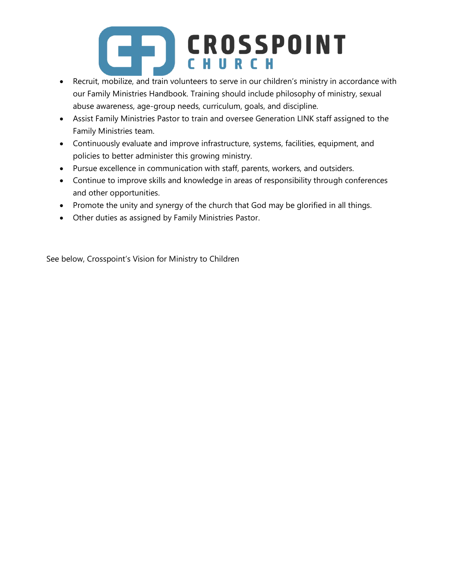# **CROSSPOINT**

- Recruit, mobilize, and train volunteers to serve in our children's ministry in accordance with our Family Ministries Handbook. Training should include philosophy of ministry, sexual abuse awareness, age-group needs, curriculum, goals, and discipline.
- Assist Family Ministries Pastor to train and oversee Generation LINK staff assigned to the Family Ministries team.
- Continuously evaluate and improve infrastructure, systems, facilities, equipment, and policies to better administer this growing ministry.
- Pursue excellence in communication with staff, parents, workers, and outsiders.
- Continue to improve skills and knowledge in areas of responsibility through conferences and other opportunities.
- Promote the unity and synergy of the church that God may be glorified in all things.
- Other duties as assigned by Family Ministries Pastor.

See below, Crosspoint's Vision for Ministry to Children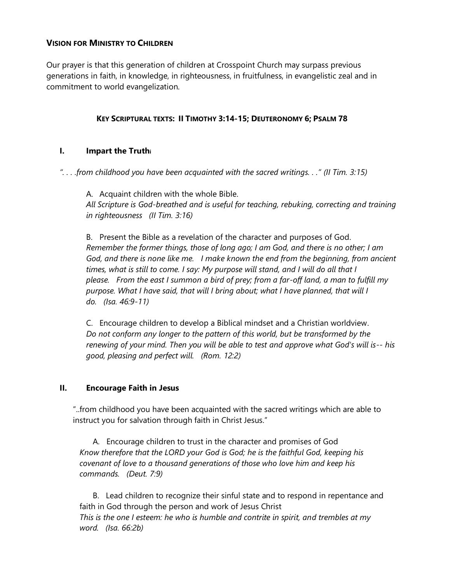# **VISION FOR MINISTRY TO CHILDREN**

Our prayer is that this generation of children at Crosspoint Church may surpass previous generations in faith, in knowledge, in righteousness, in fruitfulness, in evangelistic zeal and in commitment to world evangelization.

# **KEY SCRIPTURAL TEXTS: II TIMOTHY 3:14-15; DEUTERONOMY 6; PSALM 78**

# **I. Impart the Truth<sup>i</sup>**

*". . . .from childhood you have been acquainted with the sacred writings. . ." (II Tim. 3:15)*

A. Acquaint children with the whole Bible. *All Scripture is God-breathed and is useful for teaching, rebuking, correcting and training in righteousness (II Tim. 3:16)*

B. Present the Bible as a revelation of the character and purposes of God. *Remember the former things, those of long ago; I am God, and there is no other; I am God, and there is none like me. I make known the end from the beginning, from ancient times, what is still to come. I say: My purpose will stand, and I will do all that I please. From the east I summon a bird of prey; from a far-off land, a man to fulfill my purpose. What I have said, that will I bring about; what I have planned, that will I do. (Isa. 46:9-11)*

C. Encourage children to develop a Biblical mindset and a Christian worldview. *Do not conform any longer to the pattern of this world, but be transformed by the renewing of your mind. Then you will be able to test and approve what God's will is-- his good, pleasing and perfect will. (Rom. 12:2)*

#### **II. Encourage Faith in Jesus**

"..from childhood you have been acquainted with the sacred writings which are able to instruct you for salvation through faith in Christ Jesus."

A. Encourage children to trust in the character and promises of God *Know therefore that the LORD your God is God; he is the faithful God, keeping his covenant of love to a thousand generations of those who love him and keep his commands. (Deut. 7:9)* 

B. Lead children to recognize their sinful state and to respond in repentance and faith in God through the person and work of Jesus Christ *This is the one I esteem: he who is humble and contrite in spirit, and trembles at my word. (Isa. 66:2b)*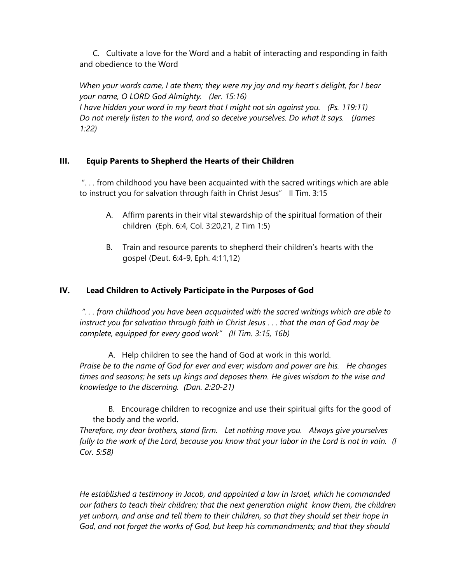C. Cultivate a love for the Word and a habit of interacting and responding in faith and obedience to the Word

*When your words came, I ate them; they were my joy and my heart's delight, for I bear your name, O LORD God Almighty. (Jer. 15:16) I have hidden your word in my heart that I might not sin against you. (Ps. 119:11) Do not merely listen to the word, and so deceive yourselves. Do what it says. (James 1:22)* 

# **III. Equip Parents to Shepherd the Hearts of their Children**

". . . from childhood you have been acquainted with the sacred writings which are able to instruct you for salvation through faith in Christ Jesus" II Tim. 3:15

- A. Affirm parents in their vital stewardship of the spiritual formation of their children (Eph. 6:4, Col. 3:20,21, 2 Tim 1:5)
- B. Train and resource parents to shepherd their children's hearts with the gospel (Deut. 6:4-9, Eph. 4:11,12)

# **IV. Lead Children to Actively Participate in the Purposes of God**

*". . . from childhood you have been acquainted with the sacred writings which are able to instruct you for salvation through faith in Christ Jesus . . . that the man of God may be complete, equipped for every good work" (II Tim. 3:15, 16b)*

A. Help children to see the hand of God at work in this world. *Praise be to the name of God for ever and ever; wisdom and power are his. He changes times and seasons; he sets up kings and deposes them. He gives wisdom to the wise and knowledge to the discerning. (Dan. 2:20-21)* 

B. Encourage children to recognize and use their spiritual gifts for the good of the body and the world.

*Therefore, my dear brothers, stand firm. Let nothing move you. Always give yourselves fully to the work of the Lord, because you know that your labor in the Lord is not in vain. (I Cor. 5:58)*

*He established a testimony in Jacob, and appointed a law in Israel, which he commanded our fathers to teach their children; that the next generation might know them, the children yet unborn, and arise and tell them to their children, so that they should set their hope in God, and not forget the works of God, but keep his commandments; and that they should*